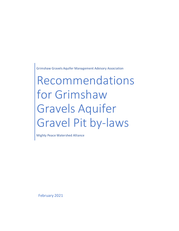Grimshaw Gravels Aquifer Management Advisory Association

Recommendations for Grimshaw Gravels Aquifer Gravel Pit by-laws

Mighty Peace Watershed Alliance

February 2021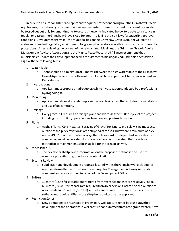In order to ensure consistent and appropriate aquifer protection throughout the Grimshaw Gravels Aquifer area, the following recommendations are presented. There is no intent for current by-laws to be tossed out but only for amendments to occur at the points indicated below to create consistency in regulations across the Grimshaw Gravels Aquifer area. In aligning their by-laws for Gravel Pit approval conditions (Development Permits), the municipalities on the Grimshaw Gravels Aquifer will create a stable and standard regulatory environment for gravel pit operators as well as consistent environmental protections. After reviewing the by-laws of the relevant municipalities, the Grimshaw Gravels Aquifer Management Advisory Association and the Mighty Peace Watershed Alliance recommend that municipalities update their development permit requirements, making any adjustments necessary to align with the following items.

- 1. Water Table
	- a. There should be a minimum of 3 metres between the high water table of the Grimshaw Gravel Aquifers and the bottom of the pit at all time as per the Alberta Environment and Parks standard.
- 2. Investigations
	- a. Applicant must prepare a hydrogeological site investigation conducted by a professional hydrogeologist.
- 3. Monitoring
	- a. Applicant must develop and comply with a monitoring plan that includes the installation and use of piezometers.
- 4. Drainage
	- a. Every gravel pit requires a drainage plan that addresses the full life-cycle of the project including construction, operation, reclamation and post-reclamation.
- 5. Plants
	- a. Asphalt Plants, Cold Mix Sites, Spraying of Gravel Box Liners, and Salt Mixing must occur outside of the pit excavation in area stripped of topsoil, but where a minimum of 2.75 meters (9.02 ft) of overburden or a synthetic liner exists. Independent verification of compaction must be provided. A surface drainage control system that includes a method of containment must be installed for the area of activity.
- 6. Miscellaneous
	- a. The developer shall provide information on the proposed methods to be used to eliminate potential for groundwater contamination.
- 7. External Review
	- a. Subdivision and development proposals located within the Grimshaw Gravels aquifer may be referred to the Grimshaw Gravels Aquifer Management Advisory Association for comment and advice at the discretion of the Development Officer.
- 8. Buffers
	- a. 30 metre (98.42 ft) setbacks are required from river sections that are relatively linear, 60 metre (196.85 ft) setbacks are required from river sections located on the outside of river bends and 20 metre (65.61 ft) setbacks are required from watercourses. These setbacks must be identified in the site plan submitted by the applicant.
- 9. Restriction Zones
	- a. New operations are restricted in preliminary well capture zones because gravel pit development and operations in well capture zones may contaminate groundwater. New